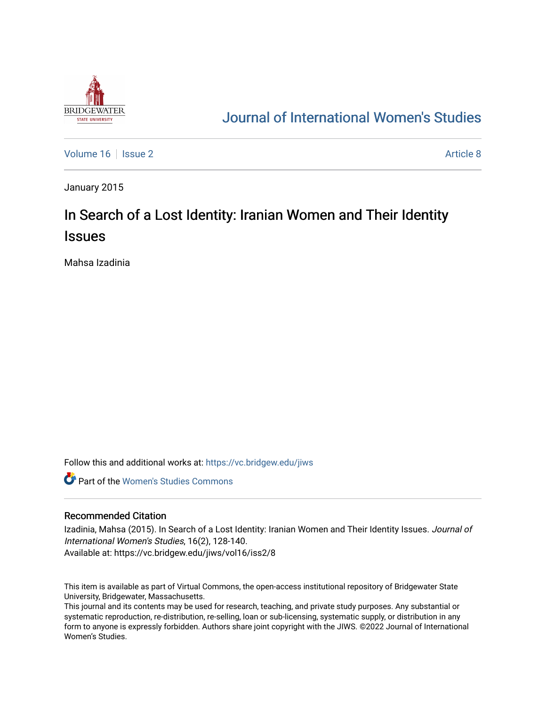

# [Journal of International Women's Studies](https://vc.bridgew.edu/jiws)

[Volume 16](https://vc.bridgew.edu/jiws/vol16) September 2 [Article 8](https://vc.bridgew.edu/jiws/vol16/iss2/8) Article 8 Article 8

January 2015

# In Search of a Lost Identity: Iranian Women and Their Identity **Issues**

Mahsa Izadinia

Follow this and additional works at: [https://vc.bridgew.edu/jiws](https://vc.bridgew.edu/jiws?utm_source=vc.bridgew.edu%2Fjiws%2Fvol16%2Fiss2%2F8&utm_medium=PDF&utm_campaign=PDFCoverPages)

**C** Part of the Women's Studies Commons

#### Recommended Citation

Izadinia, Mahsa (2015). In Search of a Lost Identity: Iranian Women and Their Identity Issues. Journal of International Women's Studies, 16(2), 128-140. Available at: https://vc.bridgew.edu/jiws/vol16/iss2/8

This item is available as part of Virtual Commons, the open-access institutional repository of Bridgewater State University, Bridgewater, Massachusetts.

This journal and its contents may be used for research, teaching, and private study purposes. Any substantial or systematic reproduction, re-distribution, re-selling, loan or sub-licensing, systematic supply, or distribution in any form to anyone is expressly forbidden. Authors share joint copyright with the JIWS. ©2022 Journal of International Women's Studies.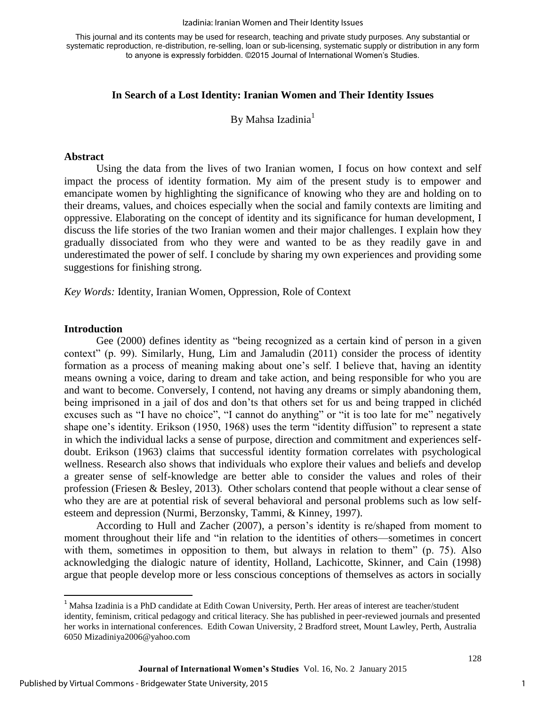#### Izadinia: Iranian Women and Their Identity Issues

This journal and its contents may be used for research, teaching and private study purposes. Any substantial or systematic reproduction, re-distribution, re-selling, loan or sub-licensing, systematic supply or distribution in any form to anyone is expressly forbidden. ©2015 Journal of International Women's Studies.

# **In Search of a Lost Identity: Iranian Women and Their Identity Issues**

By Mahsa Izadinia $<sup>1</sup>$ </sup>

#### **Abstract**

Using the data from the lives of two Iranian women, I focus on how context and self impact the process of identity formation. My aim of the present study is to empower and emancipate women by highlighting the significance of knowing who they are and holding on to their dreams, values, and choices especially when the social and family contexts are limiting and oppressive. Elaborating on the concept of identity and its significance for human development, I discuss the life stories of the two Iranian women and their major challenges. I explain how they gradually dissociated from who they were and wanted to be as they readily gave in and underestimated the power of self. I conclude by sharing my own experiences and providing some suggestions for finishing strong.

*Key Words:* Identity, Iranian Women, Oppression, Role of Context

#### **Introduction**

 $\overline{\phantom{a}}$ 

Gee (2000) defines identity as "being recognized as a certain kind of person in a given context" (p. 99). Similarly, Hung, Lim and Jamaludin (2011) consider the process of identity formation as a process of meaning making about one's self. I believe that, having an identity means owning a voice, daring to dream and take action, and being responsible for who you are and want to become. Conversely, I contend, not having any dreams or simply abandoning them, being imprisoned in a jail of dos and don'ts that others set for us and being trapped in clichéd excuses such as "I have no choice", "I cannot do anything" or "it is too late for me" negatively shape one's identity. Erikson (1950, 1968) uses the term "identity diffusion" to represent a state in which the individual lacks a sense of purpose, direction and commitment and experiences selfdoubt. Erikson (1963) claims that successful identity formation correlates with psychological wellness. Research also shows that individuals who explore their values and beliefs and develop a greater sense of self-knowledge are better able to consider the values and roles of their profession (Friesen & Besley, 2013). Other scholars contend that people without a clear sense of who they are are at potential risk of several behavioral and personal problems such as low selfesteem and depression (Nurmi, Berzonsky, Tammi, & Kinney, 1997).

According to Hull and Zacher (2007), a person's identity is re/shaped from moment to moment throughout their life and "in relation to the identities of others—sometimes in concert with them, sometimes in opposition to them, but always in relation to them" (p. 75). Also acknowledging the dialogic nature of identity, Holland, Lachicotte, Skinner, and Cain (1998) argue that people develop more or less conscious conceptions of themselves as actors in socially

<sup>&</sup>lt;sup>1</sup> Mahsa Izadinia is a PhD candidate at Edith Cowan University, Perth. Her areas of interest are teacher/student identity, feminism, critical pedagogy and critical literacy. She has published in peer-reviewed journals and presented her works in international conferences. Edith Cowan University, 2 Bradford street, Mount Lawley, Perth, Australia 6050 Mizadiniya2006@yahoo.com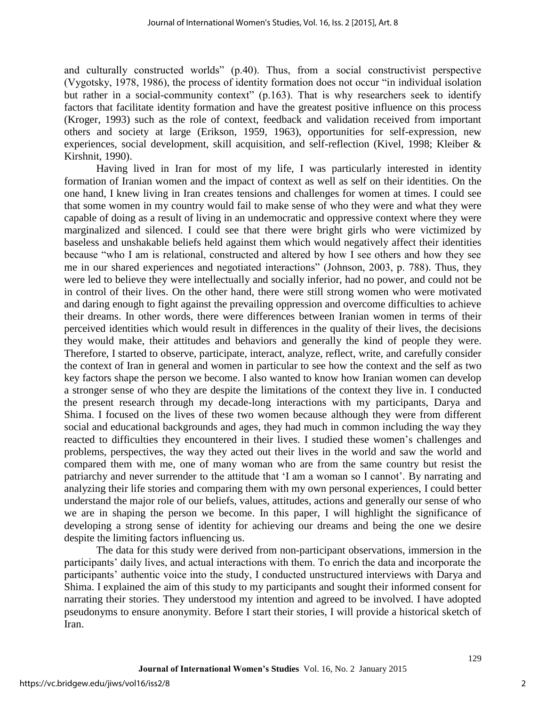and culturally constructed worlds" (p.40). Thus, from a social constructivist perspective (Vygotsky, 1978, 1986), the process of identity formation does not occur "in individual isolation but rather in a social-community context" (p.163). That is why researchers seek to identify factors that facilitate identity formation and have the greatest positive influence on this process (Kroger, 1993) such as the role of context, feedback and validation received from important others and society at large (Erikson, 1959, 1963), opportunities for self-expression, new experiences, social development, skill acquisition, and self-reflection (Kivel, 1998; Kleiber & Kirshnit, 1990).

Having lived in Iran for most of my life, I was particularly interested in identity formation of Iranian women and the impact of context as well as self on their identities. On the one hand, I knew living in Iran creates tensions and challenges for women at times. I could see that some women in my country would fail to make sense of who they were and what they were capable of doing as a result of living in an undemocratic and oppressive context where they were marginalized and silenced. I could see that there were bright girls who were victimized by baseless and unshakable beliefs held against them which would negatively affect their identities because "who I am is relational, constructed and altered by how I see others and how they see me in our shared experiences and negotiated interactions" (Johnson, 2003, p. 788). Thus, they were led to believe they were intellectually and socially inferior, had no power, and could not be in control of their lives. On the other hand, there were still strong women who were motivated and daring enough to fight against the prevailing oppression and overcome difficulties to achieve their dreams. In other words, there were differences between Iranian women in terms of their perceived identities which would result in differences in the quality of their lives, the decisions they would make, their attitudes and behaviors and generally the kind of people they were. Therefore, I started to observe, participate, interact, analyze, reflect, write, and carefully consider the context of Iran in general and women in particular to see how the context and the self as two key factors shape the person we become. I also wanted to know how Iranian women can develop a stronger sense of who they are despite the limitations of the context they live in. I conducted the present research through my decade-long interactions with my participants, Darya and Shima. I focused on the lives of these two women because although they were from different social and educational backgrounds and ages, they had much in common including the way they reacted to difficulties they encountered in their lives. I studied these women's challenges and problems, perspectives, the way they acted out their lives in the world and saw the world and compared them with me, one of many woman who are from the same country but resist the patriarchy and never surrender to the attitude that 'I am a woman so I cannot'. By narrating and analyzing their life stories and comparing them with my own personal experiences, I could better understand the major role of our beliefs, values, attitudes, actions and generally our sense of who we are in shaping the person we become. In this paper, I will highlight the significance of developing a strong sense of identity for achieving our dreams and being the one we desire despite the limiting factors influencing us.

The data for this study were derived from non-participant observations, immersion in the participants' daily lives, and actual interactions with them. To enrich the data and incorporate the participants' authentic voice into the study, I conducted unstructured interviews with Darya and Shima. I explained the aim of this study to my participants and sought their informed consent for narrating their stories. They understood my intention and agreed to be involved. I have adopted pseudonyms to ensure anonymity. Before I start their stories, I will provide a historical sketch of Iran.

2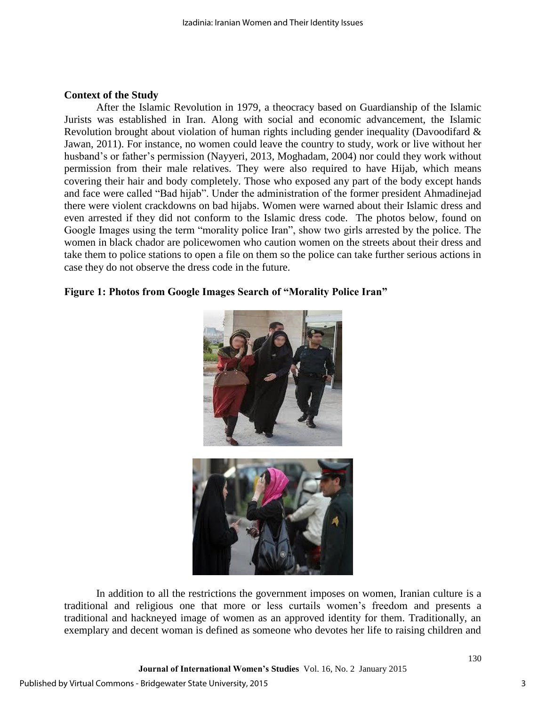# **Context of the Study**

After the Islamic Revolution in 1979, a theocracy based on Guardianship of the Islamic Jurists was established in Iran. Along with social and economic advancement, the Islamic Revolution brought about violation of human rights including gender inequality (Davoodifard & Jawan, 2011). For instance, no women could leave the country to study, work or live without her husband's or father's permission (Nayyeri, 2013, Moghadam, 2004) nor could they work without permission from their male relatives. They were also required to have Hijab, which means covering their hair and body completely. Those who exposed any part of the body except hands and face were called "Bad hijab". Under the administration of the former president Ahmadinejad there were violent crackdowns on bad hijabs. Women were warned about their Islamic dress and even arrested if they did not conform to the Islamic dress code. The photos below, found on Google Images using the term "morality police Iran", show two girls arrested by the police. The women in black chador are policewomen who caution women on the streets about their dress and take them to police stations to open a file on them so the police can take further serious actions in case they do not observe the dress code in the future.

# **Figure 1: Photos from Google Images Search of "Morality Police Iran"**



In addition to all the restrictions the government imposes on women, Iranian culture is a traditional and religious one that more or less curtails women's freedom and presents a traditional and hackneyed image of women as an approved identity for them. Traditionally, an exemplary and decent woman is defined as someone who devotes her life to raising children and

**Journal of International Women's Studies** Vol. 16, No. 2 January 2015

3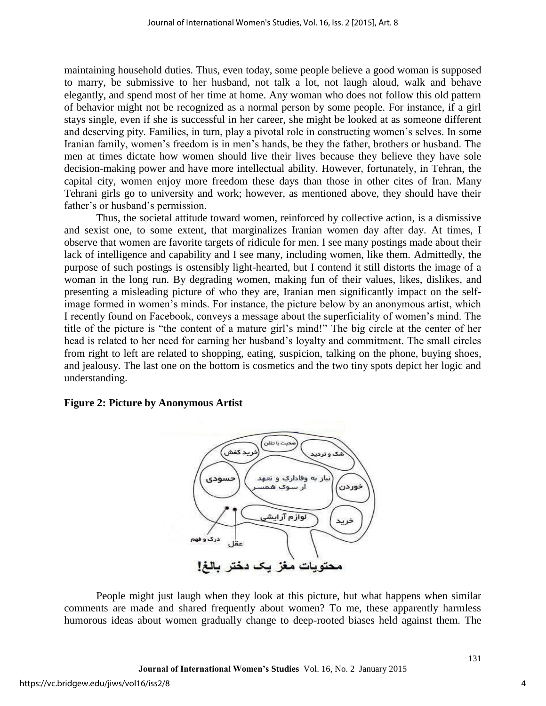maintaining household duties. Thus, even today, some people believe a good woman is supposed to marry, be submissive to her husband, not talk a lot, not laugh aloud, walk and behave elegantly, and spend most of her time at home. Any woman who does not follow this old pattern of behavior might not be recognized as a normal person by some people. For instance, if a girl stays single, even if she is successful in her career, she might be looked at as someone different and deserving pity. Families, in turn, play a pivotal role in constructing women's selves. In some Iranian family, women's freedom is in men's hands, be they the father, brothers or husband. The men at times dictate how women should live their lives because they believe they have sole decision-making power and have more intellectual ability. However, fortunately, in Tehran, the capital city, women enjoy more freedom these days than those in other cites of Iran. Many Tehrani girls go to university and work; however, as mentioned above, they should have their father's or husband's permission.

Thus, the societal attitude toward women, reinforced by collective action, is a dismissive and sexist one, to some extent, that marginalizes Iranian women day after day. At times, I observe that women are favorite targets of ridicule for men. I see many postings made about their lack of intelligence and capability and I see many, including women, like them. Admittedly, the purpose of such postings is ostensibly light-hearted, but I contend it still distorts the image of a woman in the long run. By degrading women, making fun of their values, likes, dislikes, and presenting a misleading picture of who they are, Iranian men significantly impact on the selfimage formed in women's minds. For instance, the picture below by an anonymous artist, which I recently found on Facebook, conveys a message about the superficiality of women's mind. The title of the picture is "the content of a mature girl's mind!" The big circle at the center of her head is related to her need for earning her husband's loyalty and commitment. The small circles from right to left are related to shopping, eating, suspicion, talking on the phone, buying shoes, and jealousy. The last one on the bottom is cosmetics and the two tiny spots depict her logic and understanding.

### **Figure 2: Picture by Anonymous Artist**



People might just laugh when they look at this picture, but what happens when similar comments are made and shared frequently about women? To me, these apparently harmless humorous ideas about women gradually change to deep-rooted biases held against them. The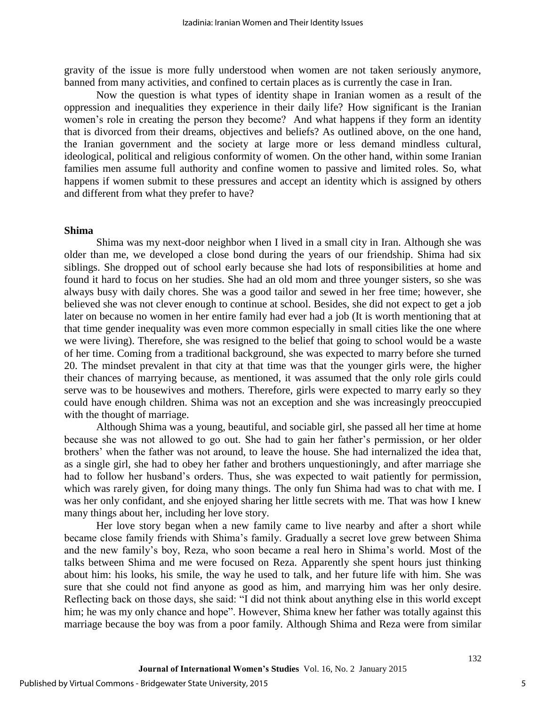gravity of the issue is more fully understood when women are not taken seriously anymore, banned from many activities, and confined to certain places as is currently the case in Iran.

Now the question is what types of identity shape in Iranian women as a result of the oppression and inequalities they experience in their daily life? How significant is the Iranian women's role in creating the person they become? And what happens if they form an identity that is divorced from their dreams, objectives and beliefs? As outlined above, on the one hand, the Iranian government and the society at large more or less demand mindless cultural, ideological, political and religious conformity of women. On the other hand, within some Iranian families men assume full authority and confine women to passive and limited roles. So, what happens if women submit to these pressures and accept an identity which is assigned by others and different from what they prefer to have?

### **Shima**

Shima was my next-door neighbor when I lived in a small city in Iran. Although she was older than me, we developed a close bond during the years of our friendship. Shima had six siblings. She dropped out of school early because she had lots of responsibilities at home and found it hard to focus on her studies. She had an old mom and three younger sisters, so she was always busy with daily chores. She was a good tailor and sewed in her free time; however, she believed she was not clever enough to continue at school. Besides, she did not expect to get a job later on because no women in her entire family had ever had a job (It is worth mentioning that at that time gender inequality was even more common especially in small cities like the one where we were living). Therefore, she was resigned to the belief that going to school would be a waste of her time. Coming from a traditional background, she was expected to marry before she turned 20. The mindset prevalent in that city at that time was that the younger girls were, the higher their chances of marrying because, as mentioned, it was assumed that the only role girls could serve was to be housewives and mothers. Therefore, girls were expected to marry early so they could have enough children. Shima was not an exception and she was increasingly preoccupied with the thought of marriage.

Although Shima was a young, beautiful, and sociable girl, she passed all her time at home because she was not allowed to go out. She had to gain her father's permission, or her older brothers' when the father was not around, to leave the house. She had internalized the idea that, as a single girl, she had to obey her father and brothers unquestioningly, and after marriage she had to follow her husband's orders. Thus, she was expected to wait patiently for permission, which was rarely given, for doing many things. The only fun Shima had was to chat with me. I was her only confidant, and she enjoyed sharing her little secrets with me. That was how I knew many things about her, including her love story.

Her love story began when a new family came to live nearby and after a short while became close family friends with Shima's family. Gradually a secret love grew between Shima and the new family's boy, Reza, who soon became a real hero in Shima's world. Most of the talks between Shima and me were focused on Reza. Apparently she spent hours just thinking about him: his looks, his smile, the way he used to talk, and her future life with him. She was sure that she could not find anyone as good as him, and marrying him was her only desire. Reflecting back on those days, she said: "I did not think about anything else in this world except him; he was my only chance and hope". However, Shima knew her father was totally against this marriage because the boy was from a poor family. Although Shima and Reza were from similar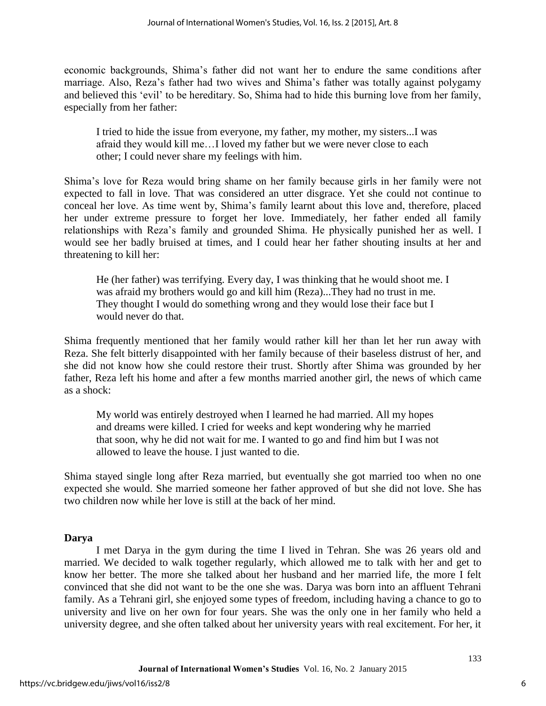economic backgrounds, Shima's father did not want her to endure the same conditions after marriage. Also, Reza's father had two wives and Shima's father was totally against polygamy and believed this 'evil' to be hereditary. So, Shima had to hide this burning love from her family, especially from her father:

I tried to hide the issue from everyone, my father, my mother, my sisters...I was afraid they would kill me…I loved my father but we were never close to each other; I could never share my feelings with him.

Shima's love for Reza would bring shame on her family because girls in her family were not expected to fall in love. That was considered an utter disgrace. Yet she could not continue to conceal her love. As time went by, Shima's family learnt about this love and, therefore, placed her under extreme pressure to forget her love. Immediately, her father ended all family relationships with Reza's family and grounded Shima. He physically punished her as well. I would see her badly bruised at times, and I could hear her father shouting insults at her and threatening to kill her:

He (her father) was terrifying. Every day, I was thinking that he would shoot me. I was afraid my brothers would go and kill him (Reza)...They had no trust in me. They thought I would do something wrong and they would lose their face but I would never do that.

Shima frequently mentioned that her family would rather kill her than let her run away with Reza. She felt bitterly disappointed with her family because of their baseless distrust of her, and she did not know how she could restore their trust. Shortly after Shima was grounded by her father, Reza left his home and after a few months married another girl, the news of which came as a shock:

My world was entirely destroyed when I learned he had married. All my hopes and dreams were killed. I cried for weeks and kept wondering why he married that soon, why he did not wait for me. I wanted to go and find him but I was not allowed to leave the house. I just wanted to die.

Shima stayed single long after Reza married, but eventually she got married too when no one expected she would. She married someone her father approved of but she did not love. She has two children now while her love is still at the back of her mind.

# **Darya**

I met Darya in the gym during the time I lived in Tehran. She was 26 years old and married. We decided to walk together regularly, which allowed me to talk with her and get to know her better. The more she talked about her husband and her married life, the more I felt convinced that she did not want to be the one she was. Darya was born into an affluent Tehrani family. As a Tehrani girl, she enjoyed some types of freedom, including having a chance to go to university and live on her own for four years. She was the only one in her family who held a university degree, and she often talked about her university years with real excitement. For her, it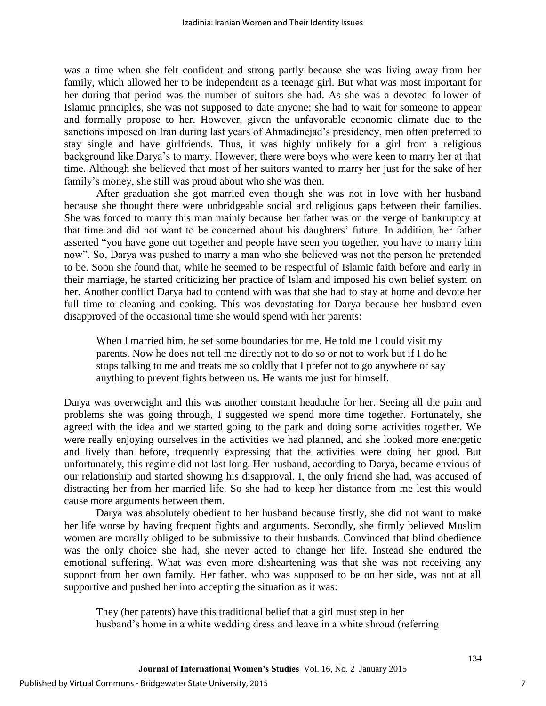was a time when she felt confident and strong partly because she was living away from her family, which allowed her to be independent as a teenage girl. But what was most important for her during that period was the number of suitors she had. As she was a devoted follower of Islamic principles, she was not supposed to date anyone; she had to wait for someone to appear and formally propose to her. However, given the unfavorable economic climate due to the sanctions imposed on Iran during last years of Ahmadinejad's presidency, men often preferred to stay single and have girlfriends. Thus, it was highly unlikely for a girl from a religious background like Darya's to marry. However, there were boys who were keen to marry her at that time. Although she believed that most of her suitors wanted to marry her just for the sake of her family's money, she still was proud about who she was then.

After graduation she got married even though she was not in love with her husband because she thought there were unbridgeable social and religious gaps between their families. She was forced to marry this man mainly because her father was on the verge of bankruptcy at that time and did not want to be concerned about his daughters' future. In addition, her father asserted "you have gone out together and people have seen you together, you have to marry him now". So, Darya was pushed to marry a man who she believed was not the person he pretended to be. Soon she found that, while he seemed to be respectful of Islamic faith before and early in their marriage, he started criticizing her practice of Islam and imposed his own belief system on her. Another conflict Darya had to contend with was that she had to stay at home and devote her full time to cleaning and cooking. This was devastating for Darya because her husband even disapproved of the occasional time she would spend with her parents:

When I married him, he set some boundaries for me. He told me I could visit my parents. Now he does not tell me directly not to do so or not to work but if I do he stops talking to me and treats me so coldly that I prefer not to go anywhere or say anything to prevent fights between us. He wants me just for himself.

Darya was overweight and this was another constant headache for her. Seeing all the pain and problems she was going through, I suggested we spend more time together. Fortunately, she agreed with the idea and we started going to the park and doing some activities together. We were really enjoying ourselves in the activities we had planned, and she looked more energetic and lively than before, frequently expressing that the activities were doing her good. But unfortunately, this regime did not last long. Her husband, according to Darya, became envious of our relationship and started showing his disapproval. I, the only friend she had, was accused of distracting her from her married life. So she had to keep her distance from me lest this would cause more arguments between them.

Darya was absolutely obedient to her husband because firstly, she did not want to make her life worse by having frequent fights and arguments. Secondly, she firmly believed Muslim women are morally obliged to be submissive to their husbands. Convinced that blind obedience was the only choice she had, she never acted to change her life. Instead she endured the emotional suffering. What was even more disheartening was that she was not receiving any support from her own family. Her father, who was supposed to be on her side, was not at all supportive and pushed her into accepting the situation as it was:

They (her parents) have this traditional belief that a girl must step in her husband's home in a white wedding dress and leave in a white shroud (referring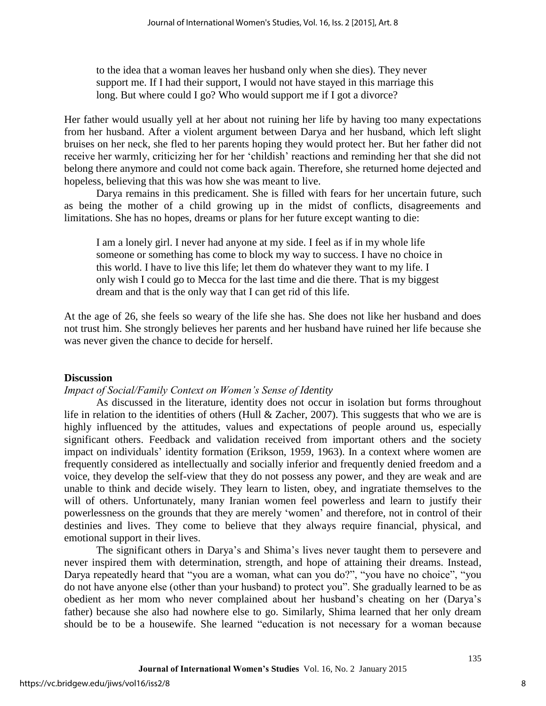to the idea that a woman leaves her husband only when she dies). They never support me. If I had their support, I would not have stayed in this marriage this long. But where could I go? Who would support me if I got a divorce?

Her father would usually yell at her about not ruining her life by having too many expectations from her husband. After a violent argument between Darya and her husband, which left slight bruises on her neck, she fled to her parents hoping they would protect her. But her father did not receive her warmly, criticizing her for her 'childish' reactions and reminding her that she did not belong there anymore and could not come back again. Therefore, she returned home dejected and hopeless, believing that this was how she was meant to live.

Darya remains in this predicament. She is filled with fears for her uncertain future, such as being the mother of a child growing up in the midst of conflicts, disagreements and limitations. She has no hopes, dreams or plans for her future except wanting to die:

I am a lonely girl. I never had anyone at my side. I feel as if in my whole life someone or something has come to block my way to success. I have no choice in this world. I have to live this life; let them do whatever they want to my life. I only wish I could go to Mecca for the last time and die there. That is my biggest dream and that is the only way that I can get rid of this life.

At the age of 26, she feels so weary of the life she has. She does not like her husband and does not trust him. She strongly believes her parents and her husband have ruined her life because she was never given the chance to decide for herself.

# **Discussion**

# *Impact of Social/Family Context on Women's Sense of Identity*

As discussed in the literature, identity does not occur in isolation but forms throughout life in relation to the identities of others (Hull & Zacher, 2007). This suggests that who we are is highly influenced by the attitudes, values and expectations of people around us, especially significant others. Feedback and validation received from important others and the society impact on individuals' identity formation (Erikson, 1959, 1963). In a context where women are frequently considered as intellectually and socially inferior and frequently denied freedom and a voice, they develop the self-view that they do not possess any power, and they are weak and are unable to think and decide wisely. They learn to listen, obey, and ingratiate themselves to the will of others. Unfortunately, many Iranian women feel powerless and learn to justify their powerlessness on the grounds that they are merely 'women' and therefore, not in control of their destinies and lives. They come to believe that they always require financial, physical, and emotional support in their lives.

The significant others in Darya's and Shima's lives never taught them to persevere and never inspired them with determination, strength, and hope of attaining their dreams. Instead, Darya repeatedly heard that "you are a woman, what can you do?", "you have no choice", "you do not have anyone else (other than your husband) to protect you". She gradually learned to be as obedient as her mom who never complained about her husband's cheating on her (Darya's father) because she also had nowhere else to go. Similarly, Shima learned that her only dream should be to be a housewife. She learned "education is not necessary for a woman because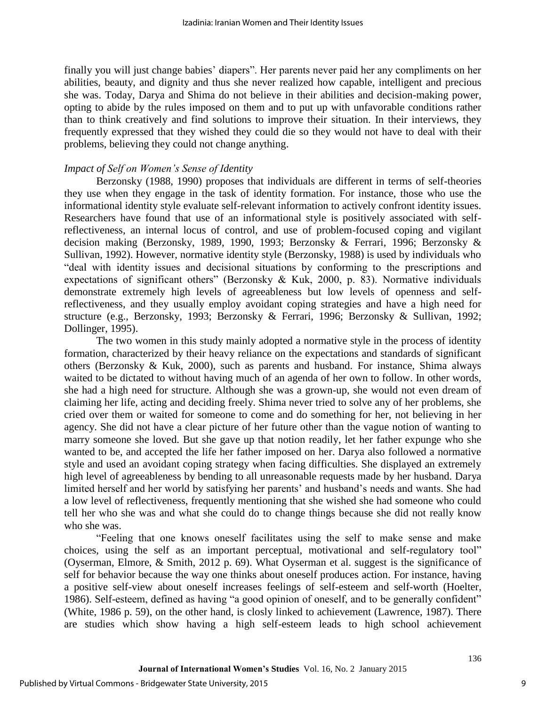finally you will just change babies' diapers". Her parents never paid her any compliments on her abilities, beauty, and dignity and thus she never realized how capable, intelligent and precious she was. Today, Darya and Shima do not believe in their abilities and decision-making power, opting to abide by the rules imposed on them and to put up with unfavorable conditions rather than to think creatively and find solutions to improve their situation. In their interviews, they frequently expressed that they wished they could die so they would not have to deal with their problems, believing they could not change anything.

# *Impact of Self on Women's Sense of Identity*

Berzonsky (1988, 1990) proposes that individuals are different in terms of self-theories they use when they engage in the task of identity formation. For instance, those who use the informational identity style evaluate self-relevant information to actively confront identity issues. Researchers have found that use of an informational style is positively associated with selfreflectiveness, an internal locus of control, and use of problem-focused coping and vigilant decision making (Berzonsky, 1989, 1990, 1993; Berzonsky & Ferrari, 1996; Berzonsky & Sullivan, 1992). However, normative identity style (Berzonsky, 1988) is used by individuals who "deal with identity issues and decisional situations by conforming to the prescriptions and expectations of significant others" (Berzonsky & Kuk, 2000, p. 83). Normative individuals demonstrate extremely high levels of agreeableness but low levels of openness and selfreflectiveness, and they usually employ avoidant coping strategies and have a high need for structure (e.g., Berzonsky, 1993; Berzonsky & Ferrari, 1996; Berzonsky & Sullivan, 1992; Dollinger, 1995).

The two women in this study mainly adopted a normative style in the process of identity formation, characterized by their heavy reliance on the expectations and standards of significant others (Berzonsky & Kuk, 2000), such as parents and husband. For instance, Shima always waited to be dictated to without having much of an agenda of her own to follow. In other words, she had a high need for structure. Although she was a grown-up, she would not even dream of claiming her life, acting and deciding freely. Shima never tried to solve any of her problems, she cried over them or waited for someone to come and do something for her, not believing in her agency. She did not have a clear picture of her future other than the vague notion of wanting to marry someone she loved. But she gave up that notion readily, let her father expunge who she wanted to be, and accepted the life her father imposed on her. Darya also followed a normative style and used an avoidant coping strategy when facing difficulties. She displayed an extremely high level of agreeableness by bending to all unreasonable requests made by her husband. Darya limited herself and her world by satisfying her parents' and husband's needs and wants. She had a low level of reflectiveness, frequently mentioning that she wished she had someone who could tell her who she was and what she could do to change things because she did not really know who she was.

"Feeling that one knows oneself facilitates using the self to make sense and make choices, using the self as an important perceptual, motivational and self-regulatory tool" (Oyserman, Elmore, & Smith, 2012 p. 69). What Oyserman et al. suggest is the significance of self for behavior because the way one thinks about oneself produces action. For instance, having a positive self-view about oneself increases feelings of self-esteem and self-worth (Hoelter, 1986). Self-esteem, defined as having "a good opinion of oneself, and to be generally confident" (White, 1986 p. 59), on the other hand, is closly linked to achievement (Lawrence, 1987). There are studies which show having a high self-esteem leads to high school achievement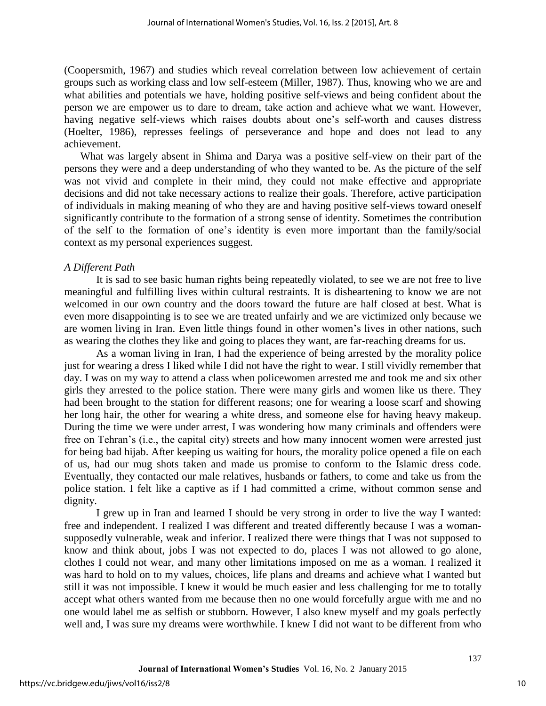(Coopersmith, 1967) and studies which reveal correlation between low achievement of certain groups such as working class and low self-esteem (Miller, 1987). Thus, knowing who we are and what abilities and potentials we have, holding positive self-views and being confident about the person we are empower us to dare to dream, take action and achieve what we want. However, having negative self-views which raises doubts about one's self-worth and causes distress (Hoelter, 1986), represses feelings of perseverance and hope and does not lead to any achievement.

What was largely absent in Shima and Darya was a positive self-view on their part of the persons they were and a deep understanding of who they wanted to be. As the picture of the self was not vivid and complete in their mind, they could not make effective and appropriate decisions and did not take necessary actions to realize their goals. Therefore, active participation of individuals in making meaning of who they are and having positive self-views toward oneself significantly contribute to the formation of a strong sense of identity. Sometimes the contribution of the self to the formation of one's identity is even more important than the family/social context as my personal experiences suggest.

# *A Different Path*

It is sad to see basic human rights being repeatedly violated, to see we are not free to live meaningful and fulfilling lives within cultural restraints. It is disheartening to know we are not welcomed in our own country and the doors toward the future are half closed at best. What is even more disappointing is to see we are treated unfairly and we are victimized only because we are women living in Iran. Even little things found in other women's lives in other nations, such as wearing the clothes they like and going to places they want, are far-reaching dreams for us.

As a woman living in Iran, I had the experience of being arrested by the morality police just for wearing a dress I liked while I did not have the right to wear. I still vividly remember that day. I was on my way to attend a class when policewomen arrested me and took me and six other girls they arrested to the police station. There were many girls and women like us there. They had been brought to the station for different reasons; one for wearing a loose scarf and showing her long hair, the other for wearing a white dress, and someone else for having heavy makeup. During the time we were under arrest, I was wondering how many criminals and offenders were free on Tehran's (i.e., the capital city) streets and how many innocent women were arrested just for being bad hijab. After keeping us waiting for hours, the morality police opened a file on each of us, had our mug shots taken and made us promise to conform to the Islamic dress code. Eventually, they contacted our male relatives, husbands or fathers, to come and take us from the police station. I felt like a captive as if I had committed a crime, without common sense and dignity.

I grew up in Iran and learned I should be very strong in order to live the way I wanted: free and independent. I realized I was different and treated differently because I was a womansupposedly vulnerable, weak and inferior. I realized there were things that I was not supposed to know and think about, jobs I was not expected to do, places I was not allowed to go alone, clothes I could not wear, and many other limitations imposed on me as a woman. I realized it was hard to hold on to my values, choices, life plans and dreams and achieve what I wanted but still it was not impossible. I knew it would be much easier and less challenging for me to totally accept what others wanted from me because then no one would forcefully argue with me and no one would label me as selfish or stubborn. However, I also knew myself and my goals perfectly well and, I was sure my dreams were worthwhile. I knew I did not want to be different from who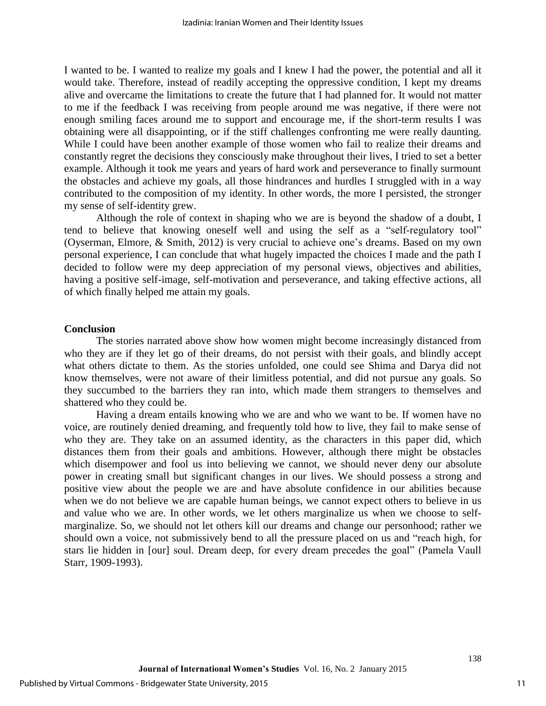I wanted to be. I wanted to realize my goals and I knew I had the power, the potential and all it would take. Therefore, instead of readily accepting the oppressive condition, I kept my dreams alive and overcame the limitations to create the future that I had planned for. It would not matter to me if the feedback I was receiving from people around me was negative, if there were not enough smiling faces around me to support and encourage me, if the short-term results I was obtaining were all disappointing, or if the stiff challenges confronting me were really daunting. While I could have been another example of those women who fail to realize their dreams and constantly regret the decisions they consciously make throughout their lives, I tried to set a better example. Although it took me years and years of hard work and perseverance to finally surmount the obstacles and achieve my goals, all those hindrances and hurdles I struggled with in a way contributed to the composition of my identity. In other words, the more I persisted, the stronger my sense of self-identity grew.

Although the role of context in shaping who we are is beyond the shadow of a doubt, I tend to believe that knowing oneself well and using the self as a "self-regulatory tool" (Oyserman, Elmore, & Smith, 2012) is very crucial to achieve one's dreams. Based on my own personal experience, I can conclude that what hugely impacted the choices I made and the path I decided to follow were my deep appreciation of my personal views, objectives and abilities, having a positive self-image, self-motivation and perseverance, and taking effective actions, all of which finally helped me attain my goals.

# **Conclusion**

The stories narrated above show how women might become increasingly distanced from who they are if they let go of their dreams, do not persist with their goals, and blindly accept what others dictate to them. As the stories unfolded, one could see Shima and Darya did not know themselves, were not aware of their limitless potential, and did not pursue any goals. So they succumbed to the barriers they ran into, which made them strangers to themselves and shattered who they could be.

Having a dream entails knowing who we are and who we want to be. If women have no voice, are routinely denied dreaming, and frequently told how to live, they fail to make sense of who they are. They take on an assumed identity, as the characters in this paper did, which distances them from their goals and ambitions. However, although there might be obstacles which disempower and fool us into believing we cannot, we should never deny our absolute power in creating small but significant changes in our lives. We should possess a strong and positive view about the people we are and have absolute confidence in our abilities because when we do not believe we are capable human beings, we cannot expect others to believe in us and value who we are. In other words, we let others marginalize us when we choose to selfmarginalize. So, we should not let others kill our dreams and change our personhood; rather we should own a voice, not submissively bend to all the pressure placed on us and "reach high, for stars lie hidden in [our] soul. Dream deep, for every dream precedes the goal" (Pamela Vaull Starr, 1909-1993).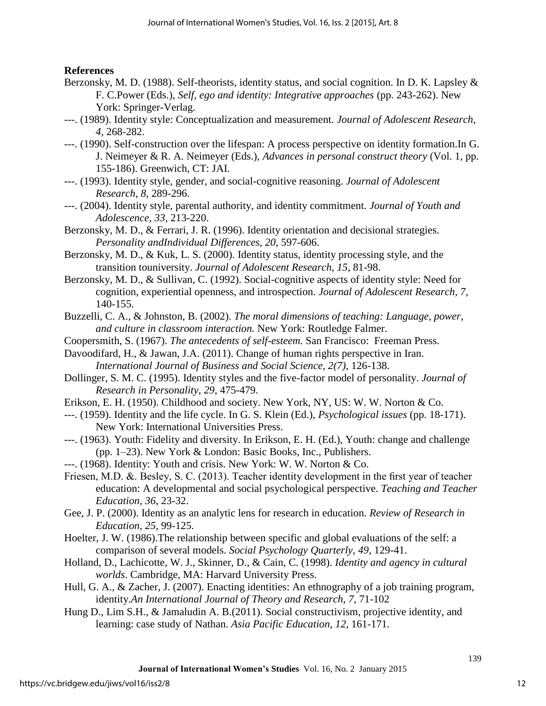# **References**

- Berzonsky, M. D. (1988). Self-theorists, identity status, and social cognition. In D. K. Lapsley & F. C.Power (Eds.), *Self, ego and identity: Integrative approaches* (pp. 243-262). New York: Springer-Verlag.
- ---. (1989). Identity style: Conceptualization and measurement. *Journal of Adolescent Research, 4*, 268-282.
- ---. (1990). Self-construction over the lifespan: A process perspective on identity formation.In G. J. Neimeyer & R. A. Neimeyer (Eds.), *Advances in personal construct theory* (Vol. 1, pp. 155-186). Greenwich, CT: JAI.
- ---. (1993). Identity style, gender, and social-cognitive reasoning. *Journal of Adolescent Research, 8*, 289-296.
- ---. (2004). Identity style, parental authority, and identity commitment. *Journal of Youth and Adolescence, 33*, 213-220.
- Berzonsky, M. D., & Ferrari, J. R. (1996). Identity orientation and decisional strategies. *Personality andIndividual Differences, 20*, 597-606.
- Berzonsky, M. D., & Kuk, L. S. (2000). Identity status, identity processing style, and the transition touniversity. *Journal of Adolescent Research, 15*, 81-98.
- Berzonsky, M. D., & Sullivan, C. (1992). Social-cognitive aspects of identity style: Need for cognition, experiential openness, and introspection. *Journal of Adolescent Research, 7*, 140-155.
- Buzzelli, C. A., & Johnston, B. (2002). *The moral dimensions of teaching: Language, power, and culture in classroom interaction.* New York: Routledge Falmer.
- Coopersmith, S. (1967). *The antecedents of self-esteem.* San Francisco: Freeman Press.
- Davoodifard, H., & Jawan, J.A. (2011). Change of human rights perspective in Iran. *International Journal of Business and Social Science, 2(7)*, 126-138.
- Dollinger, S. M. C. (1995). Identity styles and the five-factor model of personality. *Journal of Research in Personality, 29*, 475-479.
- Erikson, E. H. (1950). Childhood and society. New York, NY, US: W. W. Norton & Co.
- ---. (1959). Identity and the life cycle. In G. S. Klein (Ed.), *Psychological issues* (pp. 18-171). New York: International Universities Press.
- ---. (1963). Youth: Fidelity and diversity. In Erikson, E. H. (Ed.), Youth: change and challenge (pp. 1–23). New York & London: Basic Books, Inc., Publishers.
- ---. (1968). Identity: Youth and crisis. New York: W. W. Norton & Co.
- Friesen, M.D. &. Besley, S. C. (2013). Teacher identity development in the first year of teacher education: A developmental and social psychological perspective. *Teaching and Teacher Education, 36*, 23-32.
- Gee, J. P. (2000). Identity as an analytic lens for research in education. *Review of Research in Education, 25*, 99-125.
- Hoelter, J. W. (1986).The relationship between specific and global evaluations of the self: a comparison of several models. *Social Psychology Quarterly, 49*, 129-41.
- Holland, D., Lachicotte, W. J., Skinner, D., & Cain, C. (1998). *Identity and agency in cultural worlds*. Cambridge, MA: Harvard University Press.
- Hull, G. A., & Zacher, J. (2007). Enacting identities: An ethnography of a job training program, identity.*An International Journal of Theory and Research, 7,* 71-102
- Hung D., Lim S.H., & Jamaludin A. B.(2011). Social constructivism, projective identity, and learning: case study of Nathan. *Asia Pacific Education, 12,* 161-171.